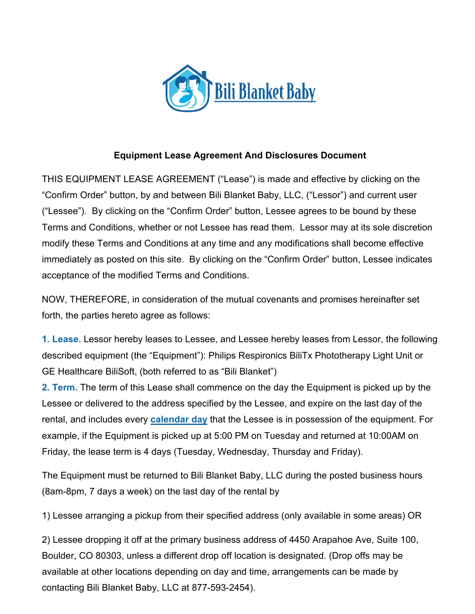

### **Equipment Lease Agreement And Disclosures Document**

THIS EQUIPMENT LEASE AGREEMENT ("Lease") is made and effective by clicking on the "Confirm Order" button, by and between Bili Blanket Baby, LLC, ("Lessor") and current user ("Lessee"). By clicking on the "Confirm Order" button, Lessee agrees to be bound by these Terms and Conditions, whether or not Lessee has read them. Lessor may at its sole discretion modify these Terms and Conditions at any time and any modifications shall become effective immediately as posted on this site. By clicking on the "Confirm Order" button, Lessee indicates acceptance of the modified Terms and Conditions.

NOW, THEREFORE, in consideration of the mutual covenants and promises hereinafter set forth, the parties hereto agree as follows:

**1. Lease.** Lessor hereby leases to Lessee, and Lessee hereby leases from Lessor, the following described equipment (the "Equipment"): Philips Respironics BiliTx Phototherapy Light Unit or GE Healthcare BiliSoft, (both referred to as "Bili Blanket")

**2. Term.** The term of this Lease shall commence on the day the Equipment is picked up by the Lessee or delivered to the address specified by the Lessee, and expire on the last day of the rental, and includes every **calendar day** that the Lessee is in possession of the equipment. For example, if the Equipment is picked up at 5:00 PM on Tuesday and returned at 10:00AM on Friday, the lease term is 4 days (Tuesday, Wednesday, Thursday and Friday).

The Equipment must be returned to Bili Blanket Baby, LLC during the posted business hours (8am-8pm, 7 days a week) on the last day of the rental by

1) Lessee arranging a pickup from their specified address (only available in some areas) OR

2) Lessee dropping it off at the primary business address of 4450 Arapahoe Ave, Suite 100, Boulder, CO 80303, unless a different drop off location is designated. (Drop offs may be available at other locations depending on day and time, arrangements can be made by contacting Bili Blanket Baby, LLC at 877-593-2454).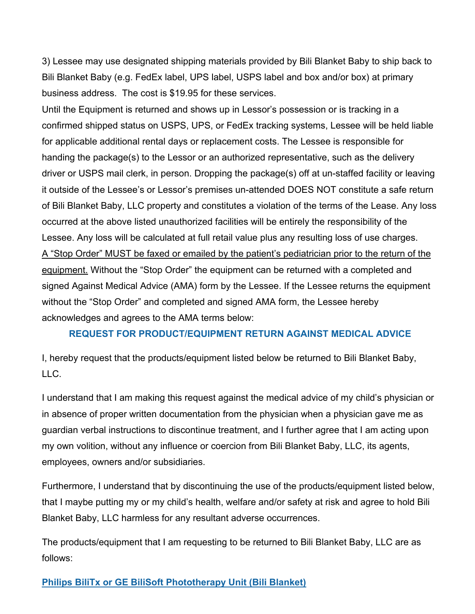3) Lessee may use designated shipping materials provided by Bili Blanket Baby to ship back to Bili Blanket Baby (e.g. FedEx label, UPS label, USPS label and box and/or box) at primary business address. The cost is \$19.95 for these services.

Until the Equipment is returned and shows up in Lessor's possession or is tracking in a confirmed shipped status on USPS, UPS, or FedEx tracking systems, Lessee will be held liable for applicable additional rental days or replacement costs. The Lessee is responsible for handing the package(s) to the Lessor or an authorized representative, such as the delivery driver or USPS mail clerk, in person. Dropping the package(s) off at un-staffed facility or leaving it outside of the Lessee's or Lessor's premises un-attended DOES NOT constitute a safe return of Bili Blanket Baby, LLC property and constitutes a violation of the terms of the Lease. Any loss occurred at the above listed unauthorized facilities will be entirely the responsibility of the Lessee. Any loss will be calculated at full retail value plus any resulting loss of use charges. A "Stop Order" MUST be faxed or emailed by the patient's pediatrician prior to the return of the equipment. Without the "Stop Order" the equipment can be returned with a completed and signed Against Medical Advice (AMA) form by the Lessee. If the Lessee returns the equipment without the "Stop Order" and completed and signed AMA form, the Lessee hereby acknowledges and agrees to the AMA terms below:

#### **REQUEST FOR PRODUCT/EQUIPMENT RETURN AGAINST MEDICAL ADVICE**

I, hereby request that the products/equipment listed below be returned to Bili Blanket Baby, LLC.

I understand that I am making this request against the medical advice of my child's physician or in absence of proper written documentation from the physician when a physician gave me as guardian verbal instructions to discontinue treatment, and I further agree that I am acting upon my own volition, without any influence or coercion from Bili Blanket Baby, LLC, its agents, employees, owners and/or subsidiaries.

Furthermore, I understand that by discontinuing the use of the products/equipment listed below, that I maybe putting my or my child's health, welfare and/or safety at risk and agree to hold Bili Blanket Baby, LLC harmless for any resultant adverse occurrences.

The products/equipment that I am requesting to be returned to Bili Blanket Baby, LLC are as follows:

#### **Philips BiliTx or GE BiliSoft Phototherapy Unit (Bili Blanket)**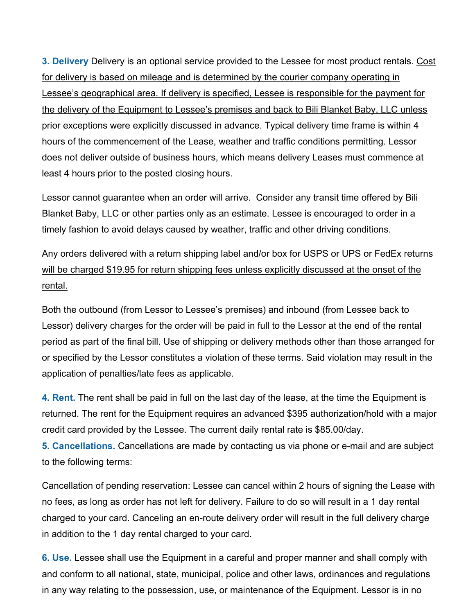**3. Delivery** Delivery is an optional service provided to the Lessee for most product rentals. Cost for delivery is based on mileage and is determined by the courier company operating in Lessee's geographical area. If delivery is specified, Lessee is responsible for the payment for the delivery of the Equipment to Lessee's premises and back to Bili Blanket Baby, LLC unless prior exceptions were explicitly discussed in advance. Typical delivery time frame is within 4 hours of the commencement of the Lease, weather and traffic conditions permitting. Lessor does not deliver outside of business hours, which means delivery Leases must commence at least 4 hours prior to the posted closing hours.

Lessor cannot guarantee when an order will arrive. Consider any transit time offered by Bili Blanket Baby, LLC or other parties only as an estimate. Lessee is encouraged to order in a timely fashion to avoid delays caused by weather, traffic and other driving conditions.

Any orders delivered with a return shipping label and/or box for USPS or UPS or FedEx returns will be charged \$19.95 for return shipping fees unless explicitly discussed at the onset of the rental.

Both the outbound (from Lessor to Lessee's premises) and inbound (from Lessee back to Lessor) delivery charges for the order will be paid in full to the Lessor at the end of the rental period as part of the final bill. Use of shipping or delivery methods other than those arranged for or specified by the Lessor constitutes a violation of these terms. Said violation may result in the application of penalties/late fees as applicable.

**4. Rent.** The rent shall be paid in full on the last day of the lease, at the time the Equipment is returned. The rent for the Equipment requires an advanced \$395 authorization/hold with a major credit card provided by the Lessee. The current daily rental rate is \$85.00/day.

**5. Cancellations.** Cancellations are made by contacting us via phone or e-mail and are subject to the following terms:

Cancellation of pending reservation: Lessee can cancel within 2 hours of signing the Lease with no fees, as long as order has not left for delivery. Failure to do so will result in a 1 day rental charged to your card. Canceling an en-route delivery order will result in the full delivery charge in addition to the 1 day rental charged to your card.

**6. Use.** Lessee shall use the Equipment in a careful and proper manner and shall comply with and conform to all national, state, municipal, police and other laws, ordinances and regulations in any way relating to the possession, use, or maintenance of the Equipment. Lessor is in no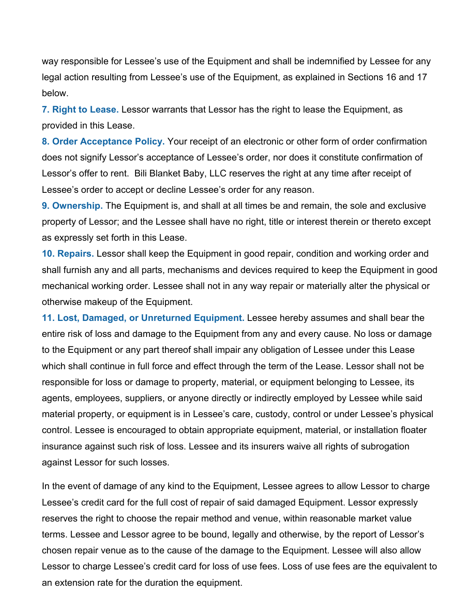way responsible for Lessee's use of the Equipment and shall be indemnified by Lessee for any legal action resulting from Lessee's use of the Equipment, as explained in Sections 16 and 17 below.

**7. Right to Lease.** Lessor warrants that Lessor has the right to lease the Equipment, as provided in this Lease.

**8. Order Acceptance Policy.** Your receipt of an electronic or other form of order confirmation does not signify Lessor's acceptance of Lessee's order, nor does it constitute confirmation of Lessor's offer to rent. Bili Blanket Baby, LLC reserves the right at any time after receipt of Lessee's order to accept or decline Lessee's order for any reason.

**9. Ownership.** The Equipment is, and shall at all times be and remain, the sole and exclusive property of Lessor; and the Lessee shall have no right, title or interest therein or thereto except as expressly set forth in this Lease.

**10. Repairs.** Lessor shall keep the Equipment in good repair, condition and working order and shall furnish any and all parts, mechanisms and devices required to keep the Equipment in good mechanical working order. Lessee shall not in any way repair or materially alter the physical or otherwise makeup of the Equipment.

**11. Lost, Damaged, or Unreturned Equipment.** Lessee hereby assumes and shall bear the entire risk of loss and damage to the Equipment from any and every cause. No loss or damage to the Equipment or any part thereof shall impair any obligation of Lessee under this Lease which shall continue in full force and effect through the term of the Lease. Lessor shall not be responsible for loss or damage to property, material, or equipment belonging to Lessee, its agents, employees, suppliers, or anyone directly or indirectly employed by Lessee while said material property, or equipment is in Lessee's care, custody, control or under Lessee's physical control. Lessee is encouraged to obtain appropriate equipment, material, or installation floater insurance against such risk of loss. Lessee and its insurers waive all rights of subrogation against Lessor for such losses.

In the event of damage of any kind to the Equipment, Lessee agrees to allow Lessor to charge Lessee's credit card for the full cost of repair of said damaged Equipment. Lessor expressly reserves the right to choose the repair method and venue, within reasonable market value terms. Lessee and Lessor agree to be bound, legally and otherwise, by the report of Lessor's chosen repair venue as to the cause of the damage to the Equipment. Lessee will also allow Lessor to charge Lessee's credit card for loss of use fees. Loss of use fees are the equivalent to an extension rate for the duration the equipment.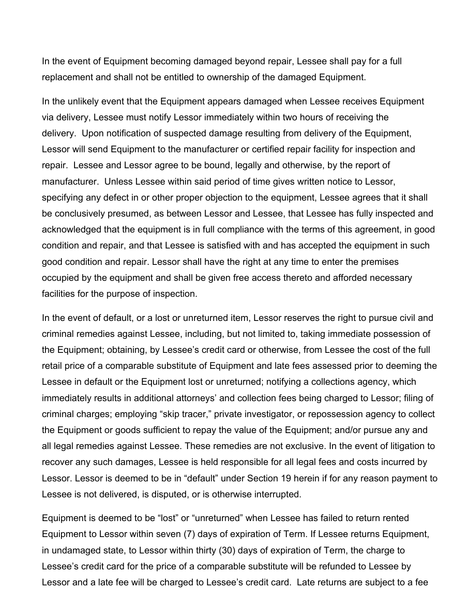In the event of Equipment becoming damaged beyond repair, Lessee shall pay for a full replacement and shall not be entitled to ownership of the damaged Equipment.

In the unlikely event that the Equipment appears damaged when Lessee receives Equipment via delivery, Lessee must notify Lessor immediately within two hours of receiving the delivery. Upon notification of suspected damage resulting from delivery of the Equipment, Lessor will send Equipment to the manufacturer or certified repair facility for inspection and repair. Lessee and Lessor agree to be bound, legally and otherwise, by the report of manufacturer. Unless Lessee within said period of time gives written notice to Lessor, specifying any defect in or other proper objection to the equipment, Lessee agrees that it shall be conclusively presumed, as between Lessor and Lessee, that Lessee has fully inspected and acknowledged that the equipment is in full compliance with the terms of this agreement, in good condition and repair, and that Lessee is satisfied with and has accepted the equipment in such good condition and repair. Lessor shall have the right at any time to enter the premises occupied by the equipment and shall be given free access thereto and afforded necessary facilities for the purpose of inspection.

In the event of default, or a lost or unreturned item, Lessor reserves the right to pursue civil and criminal remedies against Lessee, including, but not limited to, taking immediate possession of the Equipment; obtaining, by Lessee's credit card or otherwise, from Lessee the cost of the full retail price of a comparable substitute of Equipment and late fees assessed prior to deeming the Lessee in default or the Equipment lost or unreturned; notifying a collections agency, which immediately results in additional attorneys' and collection fees being charged to Lessor; filing of criminal charges; employing "skip tracer," private investigator, or repossession agency to collect the Equipment or goods sufficient to repay the value of the Equipment; and/or pursue any and all legal remedies against Lessee. These remedies are not exclusive. In the event of litigation to recover any such damages, Lessee is held responsible for all legal fees and costs incurred by Lessor. Lessor is deemed to be in "default" under Section 19 herein if for any reason payment to Lessee is not delivered, is disputed, or is otherwise interrupted.

Equipment is deemed to be "lost" or "unreturned" when Lessee has failed to return rented Equipment to Lessor within seven (7) days of expiration of Term. If Lessee returns Equipment, in undamaged state, to Lessor within thirty (30) days of expiration of Term, the charge to Lessee's credit card for the price of a comparable substitute will be refunded to Lessee by Lessor and a late fee will be charged to Lessee's credit card. Late returns are subject to a fee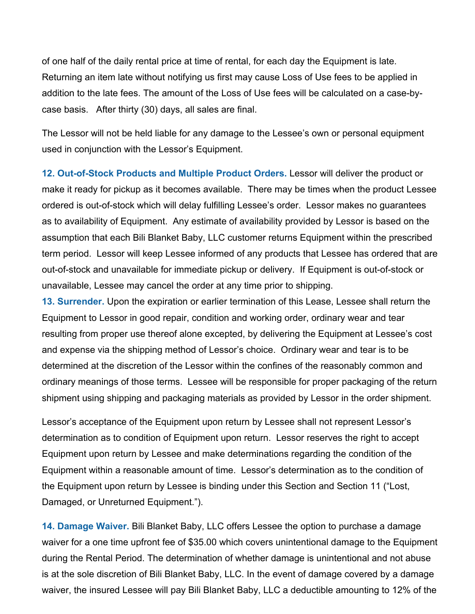of one half of the daily rental price at time of rental, for each day the Equipment is late. Returning an item late without notifying us first may cause Loss of Use fees to be applied in addition to the late fees. The amount of the Loss of Use fees will be calculated on a case-bycase basis. After thirty (30) days, all sales are final.

The Lessor will not be held liable for any damage to the Lessee's own or personal equipment used in conjunction with the Lessor's Equipment.

**12. Out-of-Stock Products and Multiple Product Orders.** Lessor will deliver the product or make it ready for pickup as it becomes available. There may be times when the product Lessee ordered is out-of-stock which will delay fulfilling Lessee's order. Lessor makes no guarantees as to availability of Equipment. Any estimate of availability provided by Lessor is based on the assumption that each Bili Blanket Baby, LLC customer returns Equipment within the prescribed term period. Lessor will keep Lessee informed of any products that Lessee has ordered that are out-of-stock and unavailable for immediate pickup or delivery. If Equipment is out-of-stock or unavailable, Lessee may cancel the order at any time prior to shipping.

**13. Surrender.** Upon the expiration or earlier termination of this Lease, Lessee shall return the Equipment to Lessor in good repair, condition and working order, ordinary wear and tear resulting from proper use thereof alone excepted, by delivering the Equipment at Lessee's cost and expense via the shipping method of Lessor's choice. Ordinary wear and tear is to be determined at the discretion of the Lessor within the confines of the reasonably common and ordinary meanings of those terms. Lessee will be responsible for proper packaging of the return shipment using shipping and packaging materials as provided by Lessor in the order shipment.

Lessor's acceptance of the Equipment upon return by Lessee shall not represent Lessor's determination as to condition of Equipment upon return. Lessor reserves the right to accept Equipment upon return by Lessee and make determinations regarding the condition of the Equipment within a reasonable amount of time. Lessor's determination as to the condition of the Equipment upon return by Lessee is binding under this Section and Section 11 ("Lost, Damaged, or Unreturned Equipment.").

**14. Damage Waiver.** Bili Blanket Baby, LLC offers Lessee the option to purchase a damage waiver for a one time upfront fee of \$35.00 which covers unintentional damage to the Equipment during the Rental Period. The determination of whether damage is unintentional and not abuse is at the sole discretion of Bili Blanket Baby, LLC. In the event of damage covered by a damage waiver, the insured Lessee will pay Bili Blanket Baby, LLC a deductible amounting to 12% of the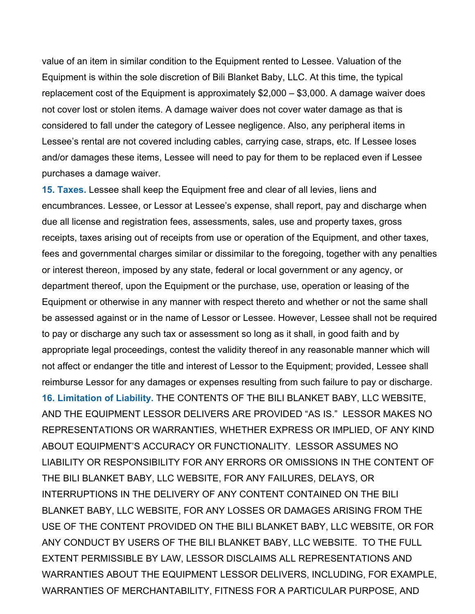value of an item in similar condition to the Equipment rented to Lessee. Valuation of the Equipment is within the sole discretion of Bili Blanket Baby, LLC. At this time, the typical replacement cost of the Equipment is approximately \$2,000 – \$3,000. A damage waiver does not cover lost or stolen items. A damage waiver does not cover water damage as that is considered to fall under the category of Lessee negligence. Also, any peripheral items in Lessee's rental are not covered including cables, carrying case, straps, etc. If Lessee loses and/or damages these items, Lessee will need to pay for them to be replaced even if Lessee purchases a damage waiver.

**15. Taxes.** Lessee shall keep the Equipment free and clear of all levies, liens and encumbrances. Lessee, or Lessor at Lessee's expense, shall report, pay and discharge when due all license and registration fees, assessments, sales, use and property taxes, gross receipts, taxes arising out of receipts from use or operation of the Equipment, and other taxes, fees and governmental charges similar or dissimilar to the foregoing, together with any penalties or interest thereon, imposed by any state, federal or local government or any agency, or department thereof, upon the Equipment or the purchase, use, operation or leasing of the Equipment or otherwise in any manner with respect thereto and whether or not the same shall be assessed against or in the name of Lessor or Lessee. However, Lessee shall not be required to pay or discharge any such tax or assessment so long as it shall, in good faith and by appropriate legal proceedings, contest the validity thereof in any reasonable manner which will not affect or endanger the title and interest of Lessor to the Equipment; provided, Lessee shall reimburse Lessor for any damages or expenses resulting from such failure to pay or discharge. **16. Limitation of Liability.** THE CONTENTS OF THE BILI BLANKET BABY, LLC WEBSITE, AND THE EQUIPMENT LESSOR DELIVERS ARE PROVIDED "AS IS." LESSOR MAKES NO REPRESENTATIONS OR WARRANTIES, WHETHER EXPRESS OR IMPLIED, OF ANY KIND ABOUT EQUIPMENT'S ACCURACY OR FUNCTIONALITY. LESSOR ASSUMES NO LIABILITY OR RESPONSIBILITY FOR ANY ERRORS OR OMISSIONS IN THE CONTENT OF THE BILI BLANKET BABY, LLC WEBSITE, FOR ANY FAILURES, DELAYS, OR INTERRUPTIONS IN THE DELIVERY OF ANY CONTENT CONTAINED ON THE BILI BLANKET BABY, LLC WEBSITE, FOR ANY LOSSES OR DAMAGES ARISING FROM THE USE OF THE CONTENT PROVIDED ON THE BILI BLANKET BABY, LLC WEBSITE, OR FOR ANY CONDUCT BY USERS OF THE BILI BLANKET BABY, LLC WEBSITE. TO THE FULL EXTENT PERMISSIBLE BY LAW, LESSOR DISCLAIMS ALL REPRESENTATIONS AND WARRANTIES ABOUT THE EQUIPMENT LESSOR DELIVERS, INCLUDING, FOR EXAMPLE, WARRANTIES OF MERCHANTABILITY, FITNESS FOR A PARTICULAR PURPOSE, AND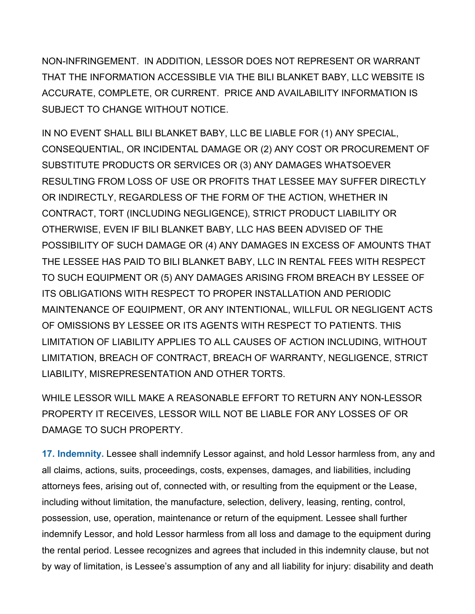NON-INFRINGEMENT. IN ADDITION, LESSOR DOES NOT REPRESENT OR WARRANT THAT THE INFORMATION ACCESSIBLE VIA THE BILI BLANKET BABY, LLC WEBSITE IS ACCURATE, COMPLETE, OR CURRENT. PRICE AND AVAILABILITY INFORMATION IS SUBJECT TO CHANGE WITHOUT NOTICE.

IN NO EVENT SHALL BILI BLANKET BABY, LLC BE LIABLE FOR (1) ANY SPECIAL, CONSEQUENTIAL, OR INCIDENTAL DAMAGE OR (2) ANY COST OR PROCUREMENT OF SUBSTITUTE PRODUCTS OR SERVICES OR (3) ANY DAMAGES WHATSOEVER RESULTING FROM LOSS OF USE OR PROFITS THAT LESSEE MAY SUFFER DIRECTLY OR INDIRECTLY, REGARDLESS OF THE FORM OF THE ACTION, WHETHER IN CONTRACT, TORT (INCLUDING NEGLIGENCE), STRICT PRODUCT LIABILITY OR OTHERWISE, EVEN IF BILI BLANKET BABY, LLC HAS BEEN ADVISED OF THE POSSIBILITY OF SUCH DAMAGE OR (4) ANY DAMAGES IN EXCESS OF AMOUNTS THAT THE LESSEE HAS PAID TO BILI BLANKET BABY, LLC IN RENTAL FEES WITH RESPECT TO SUCH EQUIPMENT OR (5) ANY DAMAGES ARISING FROM BREACH BY LESSEE OF ITS OBLIGATIONS WITH RESPECT TO PROPER INSTALLATION AND PERIODIC MAINTENANCE OF EQUIPMENT, OR ANY INTENTIONAL, WILLFUL OR NEGLIGENT ACTS OF OMISSIONS BY LESSEE OR ITS AGENTS WITH RESPECT TO PATIENTS. THIS LIMITATION OF LIABILITY APPLIES TO ALL CAUSES OF ACTION INCLUDING, WITHOUT LIMITATION, BREACH OF CONTRACT, BREACH OF WARRANTY, NEGLIGENCE, STRICT LIABILITY, MISREPRESENTATION AND OTHER TORTS.

WHILE LESSOR WILL MAKE A REASONABLE EFFORT TO RETURN ANY NON-LESSOR PROPERTY IT RECEIVES, LESSOR WILL NOT BE LIABLE FOR ANY LOSSES OF OR DAMAGE TO SUCH PROPERTY.

**17. Indemnity.** Lessee shall indemnify Lessor against, and hold Lessor harmless from, any and all claims, actions, suits, proceedings, costs, expenses, damages, and liabilities, including attorneys fees, arising out of, connected with, or resulting from the equipment or the Lease, including without limitation, the manufacture, selection, delivery, leasing, renting, control, possession, use, operation, maintenance or return of the equipment. Lessee shall further indemnify Lessor, and hold Lessor harmless from all loss and damage to the equipment during the rental period. Lessee recognizes and agrees that included in this indemnity clause, but not by way of limitation, is Lessee's assumption of any and all liability for injury: disability and death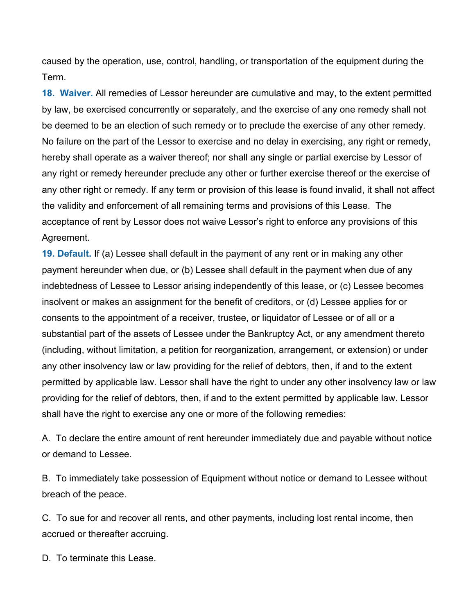caused by the operation, use, control, handling, or transportation of the equipment during the Term.

**18. Waiver.** All remedies of Lessor hereunder are cumulative and may, to the extent permitted by law, be exercised concurrently or separately, and the exercise of any one remedy shall not be deemed to be an election of such remedy or to preclude the exercise of any other remedy. No failure on the part of the Lessor to exercise and no delay in exercising, any right or remedy, hereby shall operate as a waiver thereof; nor shall any single or partial exercise by Lessor of any right or remedy hereunder preclude any other or further exercise thereof or the exercise of any other right or remedy. If any term or provision of this lease is found invalid, it shall not affect the validity and enforcement of all remaining terms and provisions of this Lease. The acceptance of rent by Lessor does not waive Lessor's right to enforce any provisions of this Agreement.

**19. Default.** If (a) Lessee shall default in the payment of any rent or in making any other payment hereunder when due, or (b) Lessee shall default in the payment when due of any indebtedness of Lessee to Lessor arising independently of this lease, or (c) Lessee becomes insolvent or makes an assignment for the benefit of creditors, or (d) Lessee applies for or consents to the appointment of a receiver, trustee, or liquidator of Lessee or of all or a substantial part of the assets of Lessee under the Bankruptcy Act, or any amendment thereto (including, without limitation, a petition for reorganization, arrangement, or extension) or under any other insolvency law or law providing for the relief of debtors, then, if and to the extent permitted by applicable law. Lessor shall have the right to under any other insolvency law or law providing for the relief of debtors, then, if and to the extent permitted by applicable law. Lessor shall have the right to exercise any one or more of the following remedies:

A. To declare the entire amount of rent hereunder immediately due and payable without notice or demand to Lessee.

B. To immediately take possession of Equipment without notice or demand to Lessee without breach of the peace.

C. To sue for and recover all rents, and other payments, including lost rental income, then accrued or thereafter accruing.

D. To terminate this Lease.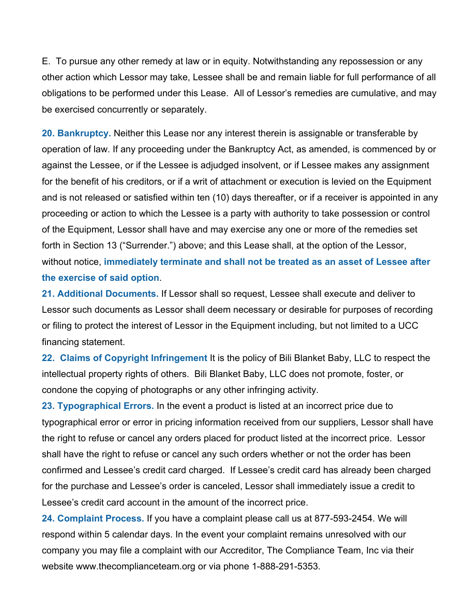E. To pursue any other remedy at law or in equity. Notwithstanding any repossession or any other action which Lessor may take, Lessee shall be and remain liable for full performance of all obligations to be performed under this Lease. All of Lessor's remedies are cumulative, and may be exercised concurrently or separately.

**20. Bankruptcy.** Neither this Lease nor any interest therein is assignable or transferable by operation of law. If any proceeding under the Bankruptcy Act, as amended, is commenced by or against the Lessee, or if the Lessee is adjudged insolvent, or if Lessee makes any assignment for the benefit of his creditors, or if a writ of attachment or execution is levied on the Equipment and is not released or satisfied within ten (10) days thereafter, or if a receiver is appointed in any proceeding or action to which the Lessee is a party with authority to take possession or control of the Equipment, Lessor shall have and may exercise any one or more of the remedies set forth in Section 13 ("Surrender.") above; and this Lease shall, at the option of the Lessor, without notice, **immediately terminate and shall not be treated as an asset of Lessee after the exercise of said option**.

**21. Additional Documents.** If Lessor shall so request, Lessee shall execute and deliver to Lessor such documents as Lessor shall deem necessary or desirable for purposes of recording or filing to protect the interest of Lessor in the Equipment including, but not limited to a UCC financing statement.

**22. Claims of Copyright Infringement** It is the policy of Bili Blanket Baby, LLC to respect the intellectual property rights of others. Bili Blanket Baby, LLC does not promote, foster, or condone the copying of photographs or any other infringing activity.

**23. Typographical Errors.** In the event a product is listed at an incorrect price due to typographical error or error in pricing information received from our suppliers, Lessor shall have the right to refuse or cancel any orders placed for product listed at the incorrect price. Lessor shall have the right to refuse or cancel any such orders whether or not the order has been confirmed and Lessee's credit card charged. If Lessee's credit card has already been charged for the purchase and Lessee's order is canceled, Lessor shall immediately issue a credit to Lessee's credit card account in the amount of the incorrect price.

**24. Complaint Process.** If you have a complaint please call us at 877-593-2454. We will respond within 5 calendar days. In the event your complaint remains unresolved with our company you may file a complaint with our Accreditor, The Compliance Team, Inc via their website www.thecomplianceteam.org or via phone 1-888-291-5353.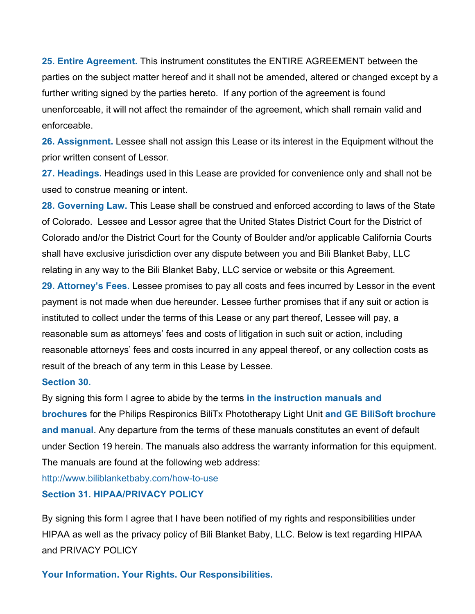**25. Entire Agreement.** This instrument constitutes the ENTIRE AGREEMENT between the parties on the subject matter hereof and it shall not be amended, altered or changed except by a further writing signed by the parties hereto. If any portion of the agreement is found unenforceable, it will not affect the remainder of the agreement, which shall remain valid and enforceable.

**26. Assignment.** Lessee shall not assign this Lease or its interest in the Equipment without the prior written consent of Lessor.

**27. Headings.** Headings used in this Lease are provided for convenience only and shall not be used to construe meaning or intent.

**28. Governing Law.** This Lease shall be construed and enforced according to laws of the State of Colorado. Lessee and Lessor agree that the United States District Court for the District of Colorado and/or the District Court for the County of Boulder and/or applicable California Courts shall have exclusive jurisdiction over any dispute between you and Bili Blanket Baby, LLC relating in any way to the Bili Blanket Baby, LLC service or website or this Agreement.

**29. Attorney's Fees.** Lessee promises to pay all costs and fees incurred by Lessor in the event payment is not made when due hereunder. Lessee further promises that if any suit or action is instituted to collect under the terms of this Lease or any part thereof, Lessee will pay, a reasonable sum as attorneys' fees and costs of litigation in such suit or action, including reasonable attorneys' fees and costs incurred in any appeal thereof, or any collection costs as result of the breach of any term in this Lease by Lessee.

#### **Section 30.**

By signing this form I agree to abide by the terms **in the instruction manuals and brochures** for the Philips Respironics BiliTx Phototherapy Light Unit **and GE BiliSoft brochure and manual**. Any departure from the terms of these manuals constitutes an event of default under Section 19 herein. The manuals also address the warranty information for this equipment. The manuals are found at the following web address:

http://www.biliblanketbaby.com/how-to-use

#### **Section 31. HIPAA/PRIVACY POLICY**

By signing this form I agree that I have been notified of my rights and responsibilities under HIPAA as well as the privacy policy of Bili Blanket Baby, LLC. Below is text regarding HIPAA and PRIVACY POLICY

**Your Information. Your Rights. Our Responsibilities.**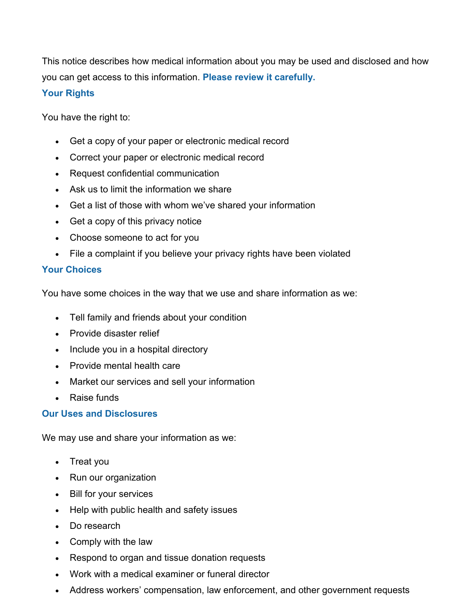This notice describes how medical information about you may be used and disclosed and how you can get access to this information. **Please review it carefully.**

#### **Your Rights**

You have the right to:

- Get a copy of your paper or electronic medical record
- Correct your paper or electronic medical record
- Request confidential communication
- Ask us to limit the information we share
- Get a list of those with whom we've shared your information
- Get a copy of this privacy notice
- Choose someone to act for you
- File a complaint if you believe your privacy rights have been violated

#### **Your Choices**

You have some choices in the way that we use and share information as we:

- Tell family and friends about your condition
- Provide disaster relief
- Include you in a hospital directory
- Provide mental health care
- Market our services and sell your information
- Raise funds

#### **Our Uses and Disclosures**

We may use and share your information as we:

- Treat you
- Run our organization
- Bill for your services
- Help with public health and safety issues
- Do research
- Comply with the law
- Respond to organ and tissue donation requests
- Work with a medical examiner or funeral director
- Address workers' compensation, law enforcement, and other government requests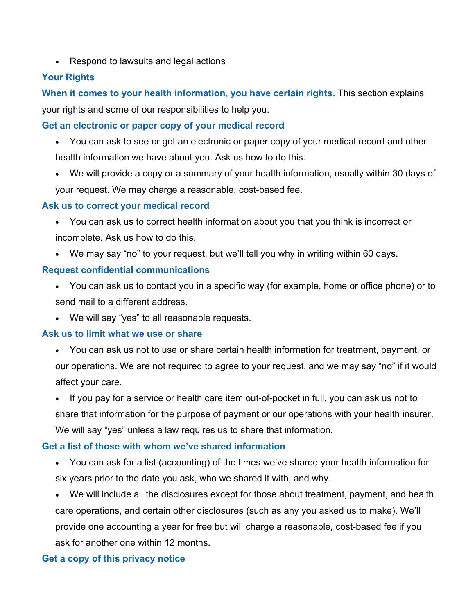• Respond to lawsuits and legal actions

### **Your Rights**

**When it comes to your health information, you have certain rights.** This section explains your rights and some of our responsibilities to help you.

### **Get an electronic or paper copy of your medical record**

- You can ask to see or get an electronic or paper copy of your medical record and other health information we have about you. Ask us how to do this.
- We will provide a copy or a summary of your health information, usually within 30 days of your request. We may charge a reasonable, cost-based fee.

#### **Ask us to correct your medical record**

- You can ask us to correct health information about you that you think is incorrect or incomplete. Ask us how to do this.
- We may say "no" to your request, but we'll tell you why in writing within 60 days.

#### **Request confidential communications**

- You can ask us to contact you in a specific way (for example, home or office phone) or to send mail to a different address.
- We will say "yes" to all reasonable requests.

#### **Ask us to limit what we use or share**

- You can ask us not to use or share certain health information for treatment, payment, or our operations. We are not required to agree to your request, and we may say "no" if it would affect your care.
- If you pay for a service or health care item out-of-pocket in full, you can ask us not to share that information for the purpose of payment or our operations with your health insurer.

# We will say "yes" unless a law requires us to share that information. **Get a list of those with whom we've shared information**

- You can ask for a list (accounting) of the times we've shared your health information for six years prior to the date you ask, who we shared it with, and why.
- We will include all the disclosures except for those about treatment, payment, and health care operations, and certain other disclosures (such as any you asked us to make). We'll provide one accounting a year for free but will charge a reasonable, cost-based fee if you ask for another one within 12 months.

# **Get a copy of this privacy notice**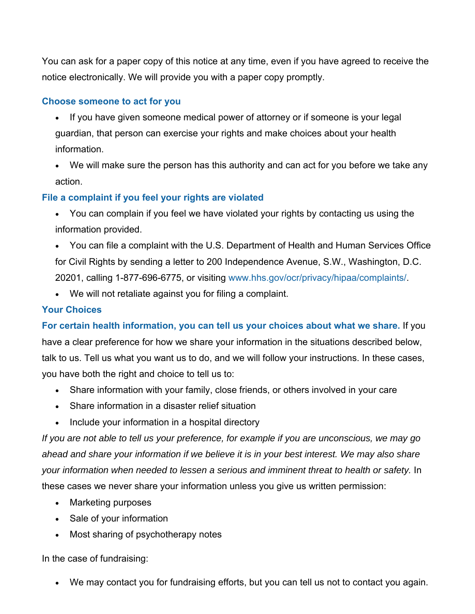You can ask for a paper copy of this notice at any time, even if you have agreed to receive the notice electronically. We will provide you with a paper copy promptly.

#### **Choose someone to act for you**

- If you have given someone medical power of attorney or if someone is your legal guardian, that person can exercise your rights and make choices about your health information.
- We will make sure the person has this authority and can act for you before we take any action.

# **File a complaint if you feel your rights are violated**

- You can complain if you feel we have violated your rights by contacting us using the information provided.
- You can file a complaint with the U.S. Department of Health and Human Services Office for Civil Rights by sending a letter to 200 Independence Avenue, S.W., Washington, D.C. 20201, calling 1-877-696-6775, or visiting www.hhs.gov/ocr/privacy/hipaa/complaints/.
- We will not retaliate against you for filing a complaint.

# **Your Choices**

**For certain health information, you can tell us your choices about what we share.** If you have a clear preference for how we share your information in the situations described below, talk to us. Tell us what you want us to do, and we will follow your instructions. In these cases, you have both the right and choice to tell us to:

- Share information with your family, close friends, or others involved in your care
- Share information in a disaster relief situation
- Include your information in a hospital directory

*If you are not able to tell us your preference, for example if you are unconscious, we may go ahead and share your information if we believe it is in your best interest. We may also share your information when needed to lessen a serious and imminent threat to health or safety.* In these cases we never share your information unless you give us written permission:

- Marketing purposes
- Sale of your information
- Most sharing of psychotherapy notes

In the case of fundraising:

We may contact you for fundraising efforts, but you can tell us not to contact you again.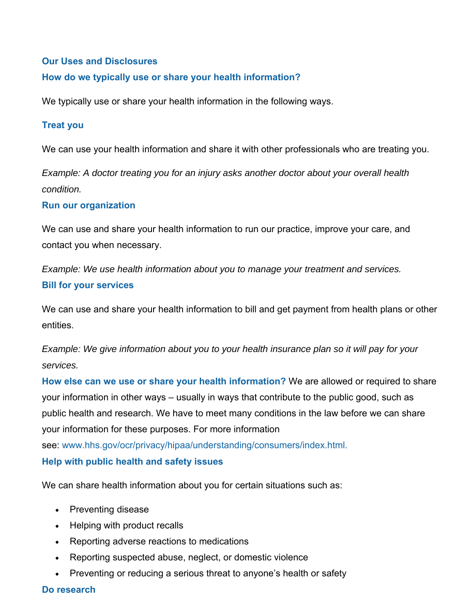#### **Our Uses and Disclosures**

# **How do we typically use or share your health information?**

We typically use or share your health information in the following ways.

### **Treat you**

We can use your health information and share it with other professionals who are treating you.

*Example: A doctor treating you for an injury asks another doctor about your overall health condition.*

### **Run our organization**

We can use and share your health information to run our practice, improve your care, and contact you when necessary.

*Example: We use health information about you to manage your treatment and services.* **Bill for your services**

We can use and share your health information to bill and get payment from health plans or other entities.

*Example: We give information about you to your health insurance plan so it will pay for your services.*

**How else can we use or share your health information?** We are allowed or required to share your information in other ways – usually in ways that contribute to the public good, such as public health and research. We have to meet many conditions in the law before we can share your information for these purposes. For more information

see: www.hhs.gov/ocr/privacy/hipaa/understanding/consumers/index.html.

# **Help with public health and safety issues**

We can share health information about you for certain situations such as:

- Preventing disease
- Helping with product recalls
- Reporting adverse reactions to medications
- Reporting suspected abuse, neglect, or domestic violence
- Preventing or reducing a serious threat to anyone's health or safety

# **Do research**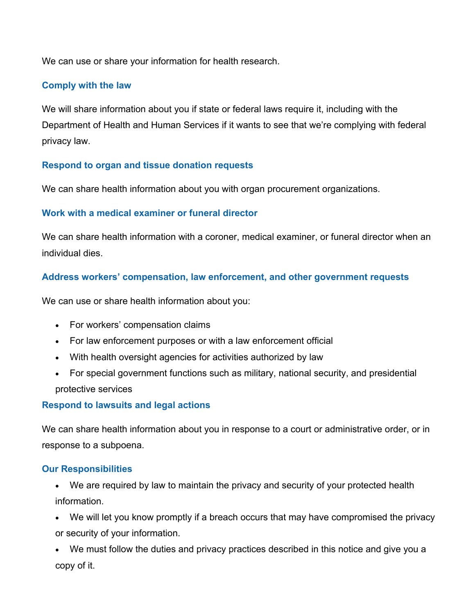We can use or share your information for health research.

### **Comply with the law**

We will share information about you if state or federal laws require it, including with the Department of Health and Human Services if it wants to see that we're complying with federal privacy law.

#### **Respond to organ and tissue donation requests**

We can share health information about you with organ procurement organizations.

#### **Work with a medical examiner or funeral director**

We can share health information with a coroner, medical examiner, or funeral director when an individual dies.

### **Address workers' compensation, law enforcement, and other government requests**

We can use or share health information about you:

- For workers' compensation claims
- For law enforcement purposes or with a law enforcement official
- With health oversight agencies for activities authorized by law
- For special government functions such as military, national security, and presidential protective services

#### **Respond to lawsuits and legal actions**

We can share health information about you in response to a court or administrative order, or in response to a subpoena.

#### **Our Responsibilities**

- We are required by law to maintain the privacy and security of your protected health information.
- We will let you know promptly if a breach occurs that may have compromised the privacy or security of your information.
- We must follow the duties and privacy practices described in this notice and give you a copy of it.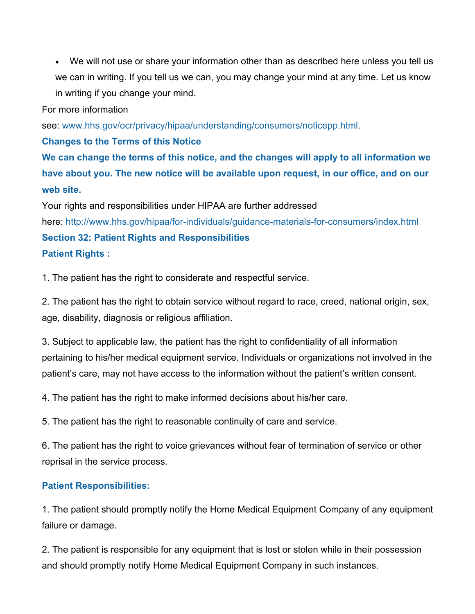We will not use or share your information other than as described here unless you tell us we can in writing. If you tell us we can, you may change your mind at any time. Let us know in writing if you change your mind.

For more information

see: www.hhs.gov/ocr/privacy/hipaa/understanding/consumers/noticepp.html.

#### **Changes to the Terms of this Notice**

**We can change the terms of this notice, and the changes will apply to all information we have about you. The new notice will be available upon request, in our office, and on our web site.**

Your rights and responsibilities under HIPAA are further addressed

here: http://www.hhs.gov/hipaa/for-individuals/guidance-materials-for-consumers/index.html **Section 32: Patient Rights and Responsibilities Patient Rights :**

1. The patient has the right to considerate and respectful service.

2. The patient has the right to obtain service without regard to race, creed, national origin, sex, age, disability, diagnosis or religious affiliation.

3. Subject to applicable law, the patient has the right to confidentiality of all information pertaining to his/her medical equipment service. Individuals or organizations not involved in the patient's care, may not have access to the information without the patient's written consent.

4. The patient has the right to make informed decisions about his/her care.

5. The patient has the right to reasonable continuity of care and service.

6. The patient has the right to voice grievances without fear of termination of service or other reprisal in the service process.

# **Patient Responsibilities:**

1. The patient should promptly notify the Home Medical Equipment Company of any equipment failure or damage.

2. The patient is responsible for any equipment that is lost or stolen while in their possession and should promptly notify Home Medical Equipment Company in such instances.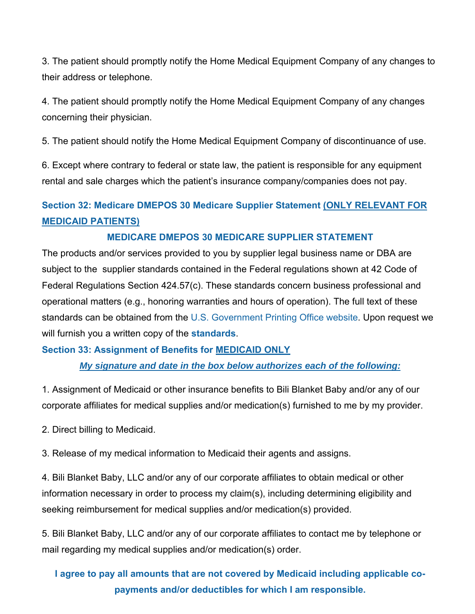3. The patient should promptly notify the Home Medical Equipment Company of any changes to their address or telephone.

4. The patient should promptly notify the Home Medical Equipment Company of any changes concerning their physician.

5. The patient should notify the Home Medical Equipment Company of discontinuance of use.

6. Except where contrary to federal or state law, the patient is responsible for any equipment rental and sale charges which the patient's insurance company/companies does not pay.

# **Section 32: Medicare DMEPOS 30 Medicare Supplier Statement (ONLY RELEVANT FOR MEDICAID PATIENTS)**

# **MEDICARE DMEPOS 30 MEDICARE SUPPLIER STATEMENT**

The products and/or services provided to you by supplier legal business name or DBA are subject to the supplier standards contained in the Federal regulations shown at 42 Code of Federal Regulations Section 424.57(c). These standards concern business professional and operational matters (e.g., honoring warranties and hours of operation). The full text of these standards can be obtained from the U.S. Government Printing Office website. Upon request we will furnish you a written copy of the **standards**.

# **Section 33: Assignment of Benefits for MEDICAID ONLY**

#### *My signature and date in the box below authorizes each of the following:*

1. Assignment of Medicaid or other insurance benefits to Bili Blanket Baby and/or any of our corporate affiliates for medical supplies and/or medication(s) furnished to me by my provider.

2. Direct billing to Medicaid.

3. Release of my medical information to Medicaid their agents and assigns.

4. Bili Blanket Baby, LLC and/or any of our corporate affiliates to obtain medical or other information necessary in order to process my claim(s), including determining eligibility and seeking reimbursement for medical supplies and/or medication(s) provided.

5. Bili Blanket Baby, LLC and/or any of our corporate affiliates to contact me by telephone or mail regarding my medical supplies and/or medication(s) order.

# **I agree to pay all amounts that are not covered by Medicaid including applicable copayments and/or deductibles for which I am responsible.**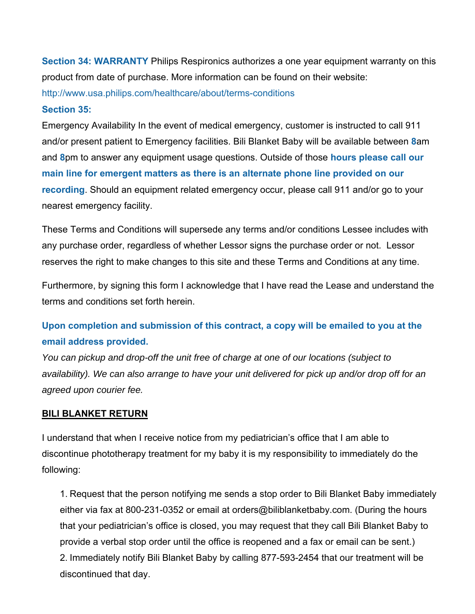**Section 34: WARRANTY** Philips Respironics authorizes a one year equipment warranty on this product from date of purchase. More information can be found on their website:

http://www.usa.philips.com/healthcare/about/terms-conditions

#### **Section 35:**

Emergency Availability In the event of medical emergency, customer is instructed to call 911 and/or present patient to Emergency facilities. Bili Blanket Baby will be available between **8**am and **8**pm to answer any equipment usage questions. Outside of those **hours please call our main line for emergent matters as there is an alternate phone line provided on our recording**. Should an equipment related emergency occur, please call 911 and/or go to your nearest emergency facility.

These Terms and Conditions will supersede any terms and/or conditions Lessee includes with any purchase order, regardless of whether Lessor signs the purchase order or not. Lessor reserves the right to make changes to this site and these Terms and Conditions at any time.

Furthermore, by signing this form I acknowledge that I have read the Lease and understand the terms and conditions set forth herein.

# **Upon completion and submission of this contract, a copy will be emailed to you at the email address provided.**

*You can pickup and drop-off the unit free of charge at one of our locations (subject to availability). We can also arrange to have your unit delivered for pick up and/or drop off for an agreed upon courier fee.*

#### **BILI BLANKET RETURN**

I understand that when I receive notice from my pediatrician's office that I am able to discontinue phototherapy treatment for my baby it is my responsibility to immediately do the following:

1. Request that the person notifying me sends a stop order to Bili Blanket Baby immediately either via fax at 800-231-0352 or email at orders@biliblanketbaby.com. (During the hours that your pediatrician's office is closed, you may request that they call Bili Blanket Baby to provide a verbal stop order until the office is reopened and a fax or email can be sent.) 2. Immediately notify Bili Blanket Baby by calling 877-593-2454 that our treatment will be discontinued that day.